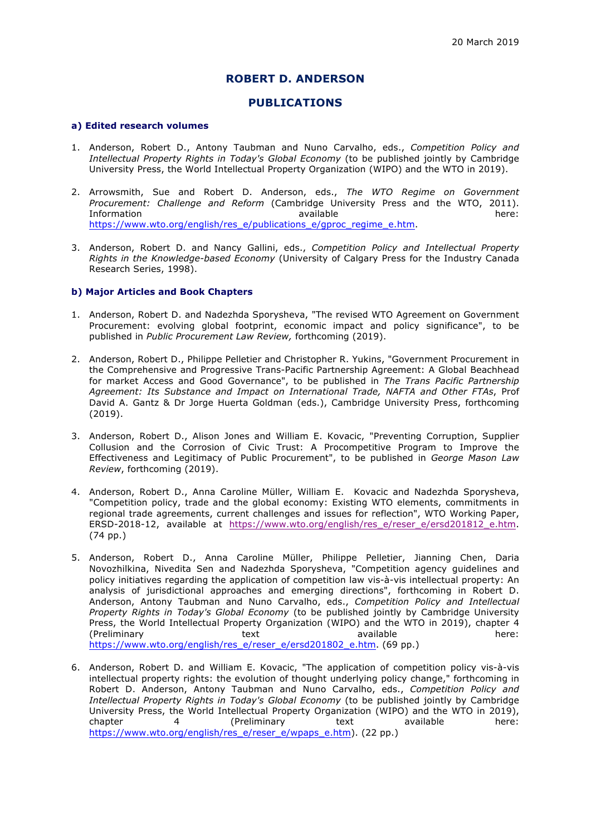## **ROBERT D. ANDERSON**

# **PUBLICATIONS**

#### **a) Edited research volumes**

- 1. Anderson, Robert D., Antony Taubman and Nuno Carvalho, eds., *Competition Policy and Intellectual Property Rights in Today's Global Economy* (to be published jointly by Cambridge University Press, the World Intellectual Property Organization (WIPO) and the WTO in 2019).
- 2. Arrowsmith, Sue and Robert D. Anderson, eds., *The WTO Regime on Government Procurement: Challenge and Reform* (Cambridge University Press and the WTO, 2011). Information available here: https://www.wto.org/english/res\_e/publications\_e/gproc\_regime\_e.htm.
- 3. Anderson, Robert D. and Nancy Gallini, eds., *Competition Policy and Intellectual Property Rights in the Knowledge-based Economy* (University of Calgary Press for the Industry Canada Research Series, 1998).

### **b) Major Articles and Book Chapters**

- 1. Anderson, Robert D. and Nadezhda Sporysheva, "The revised WTO Agreement on Government Procurement: evolving global footprint, economic impact and policy significance", to be published in *Public Procurement Law Review,* forthcoming (2019).
- 2. Anderson, Robert D., Philippe Pelletier and Christopher R. Yukins, "Government Procurement in the Comprehensive and Progressive Trans-Pacific Partnership Agreement: A Global Beachhead for market Access and Good Governance", to be published in *The Trans Pacific Partnership Agreement: Its Substance and Impact on International Trade, NAFTA and Other FTAs*, Prof David A. Gantz & Dr Jorge Huerta Goldman (eds.), Cambridge University Press, forthcoming (2019).
- 3. Anderson, Robert D., Alison Jones and William E. Kovacic, "Preventing Corruption, Supplier Collusion and the Corrosion of Civic Trust: A Procompetitive Program to Improve the Effectiveness and Legitimacy of Public Procurement", to be published in *George Mason Law Review*, forthcoming (2019).
- 4. Anderson, Robert D., Anna Caroline Müller, William E. Kovacic and Nadezhda Sporysheva, "Competition policy, trade and the global economy: Existing WTO elements, commitments in regional trade agreements, current challenges and issues for reflection", WTO Working Paper, ERSD-2018-12, available at https://www.wto.org/english/res\_e/reser\_e/ersd201812\_e.htm. (74 pp.)
- 5. Anderson, Robert D., Anna Caroline Müller, Philippe Pelletier, Jianning Chen, Daria Novozhilkina, Nivedita Sen and Nadezhda Sporysheva, "Competition agency guidelines and policy initiatives regarding the application of competition law vis-à-vis intellectual property: An analysis of jurisdictional approaches and emerging directions", forthcoming in Robert D. Anderson, Antony Taubman and Nuno Carvalho, eds., *Competition Policy and Intellectual Property Rights in Today's Global Economy* (to be published jointly by Cambridge University Press, the World Intellectual Property Organization (WIPO) and the WTO in 2019), chapter 4 (Preliminary text available here: https://www.wto.org/english/res\_e/reser\_e/ersd201802\_e.htm. (69 pp.)
- 6. Anderson, Robert D. and William E. Kovacic, "The application of competition policy vis-à-vis intellectual property rights: the evolution of thought underlying policy change," forthcoming in Robert D. Anderson, Antony Taubman and Nuno Carvalho, eds., *Competition Policy and Intellectual Property Rights in Today's Global Economy* (to be published jointly by Cambridge University Press, the World Intellectual Property Organization (WIPO) and the WTO in 2019), chapter 4 (Preliminary text available here: https://www.wto.org/english/res\_e/reser\_e/wpaps\_e.htm). (22 pp.)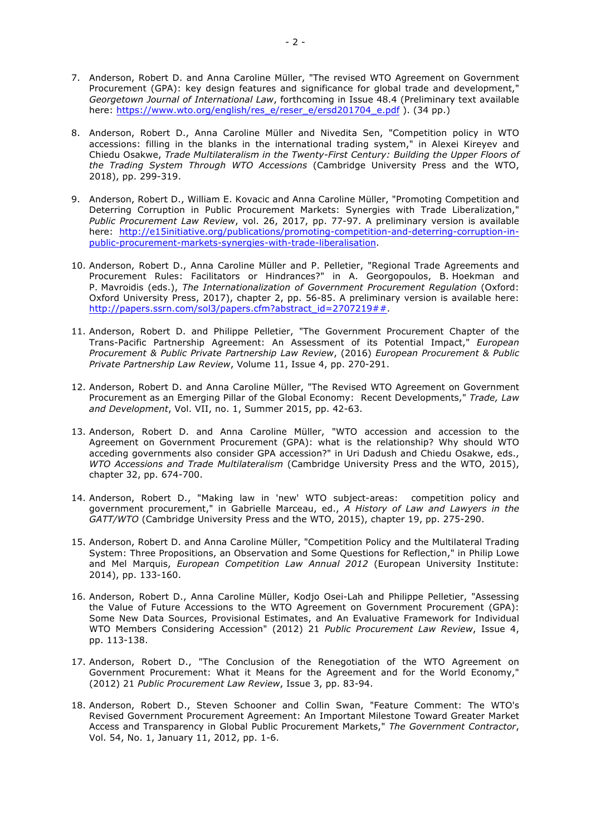- 7. Anderson, Robert D. and Anna Caroline Müller, "The revised WTO Agreement on Government Procurement (GPA): key design features and significance for global trade and development," *Georgetown Journal of International Law*, forthcoming in Issue 48.4 (Preliminary text available here: https://www.wto.org/english/res\_e/reser\_e/ersd201704\_e.pdf ). (34 pp.)
- 8. Anderson, Robert D., Anna Caroline Müller and Nivedita Sen, "Competition policy in WTO accessions: filling in the blanks in the international trading system," in Alexei Kireyev and Chiedu Osakwe, *Trade Multilateralism in the Twenty-First Century: Building the Upper Floors of the Trading System Through WTO Accessions* (Cambridge University Press and the WTO, 2018), pp. 299-319.
- 9. Anderson, Robert D., William E. Kovacic and Anna Caroline Müller, "Promoting Competition and Deterring Corruption in Public Procurement Markets: Synergies with Trade Liberalization," *Public Procurement Law Review*, vol. 26, 2017, pp. 77-97. A preliminary version is available here: http://e15initiative.org/publications/promoting-competition-and-deterring-corruption-inpublic-procurement-markets-synergies-with-trade-liberalisation.
- 10. Anderson, Robert D., Anna Caroline Müller and P. Pelletier, "Regional Trade Agreements and Procurement Rules: Facilitators or Hindrances?" in A. Georgopoulos, B. Hoekman and P. Mavroidis (eds.), *The Internationalization of Government Procurement Regulation* (Oxford: Oxford University Press, 2017), chapter 2, pp. 56-85. A preliminary version is available here: http://papers.ssrn.com/sol3/papers.cfm?abstract\_id=2707219##.
- 11. Anderson, Robert D. and Philippe Pelletier, "The Government Procurement Chapter of the Trans-Pacific Partnership Agreement: An Assessment of its Potential Impact," *European Procurement & Public Private Partnership Law Review*, (2016) *European Procurement & Public Private Partnership Law Review*, Volume 11, Issue 4, pp. 270-291.
- 12. Anderson, Robert D. and Anna Caroline Müller, "The Revised WTO Agreement on Government Procurement as an Emerging Pillar of the Global Economy: Recent Developments," *Trade, Law and Development*, Vol. VII, no. 1, Summer 2015, pp. 42-63.
- 13. Anderson, Robert D. and Anna Caroline Müller, "WTO accession and accession to the Agreement on Government Procurement (GPA): what is the relationship? Why should WTO acceding governments also consider GPA accession?" in Uri Dadush and Chiedu Osakwe, eds., *WTO Accessions and Trade Multilateralism* (Cambridge University Press and the WTO, 2015), chapter 32, pp. 674-700.
- 14. Anderson, Robert D., "Making law in 'new' WTO subject-areas: competition policy and government procurement," in Gabrielle Marceau, ed., *A History of Law and Lawyers in the GATT/WTO* (Cambridge University Press and the WTO, 2015), chapter 19, pp. 275-290.
- 15. Anderson, Robert D. and Anna Caroline Müller, "Competition Policy and the Multilateral Trading System: Three Propositions, an Observation and Some Questions for Reflection," in Philip Lowe and Mel Marquis, *European Competition Law Annual 2012* (European University Institute: 2014), pp. 133-160.
- 16. Anderson, Robert D., Anna Caroline Müller, Kodjo Osei-Lah and Philippe Pelletier, "Assessing the Value of Future Accessions to the WTO Agreement on Government Procurement (GPA): Some New Data Sources, Provisional Estimates, and An Evaluative Framework for Individual WTO Members Considering Accession" (2012) 21 *Public Procurement Law Review*, Issue 4, pp. 113-138.
- 17. Anderson, Robert D., "The Conclusion of the Renegotiation of the WTO Agreement on Government Procurement: What it Means for the Agreement and for the World Economy," (2012) 21 *Public Procurement Law Review*, Issue 3, pp. 83-94.
- 18. Anderson, Robert D., Steven Schooner and Collin Swan, "Feature Comment: The WTO's Revised Government Procurement Agreement: An Important Milestone Toward Greater Market Access and Transparency in Global Public Procurement Markets," *The Government Contractor*, Vol. 54, No. 1, January 11, 2012, pp. 1-6.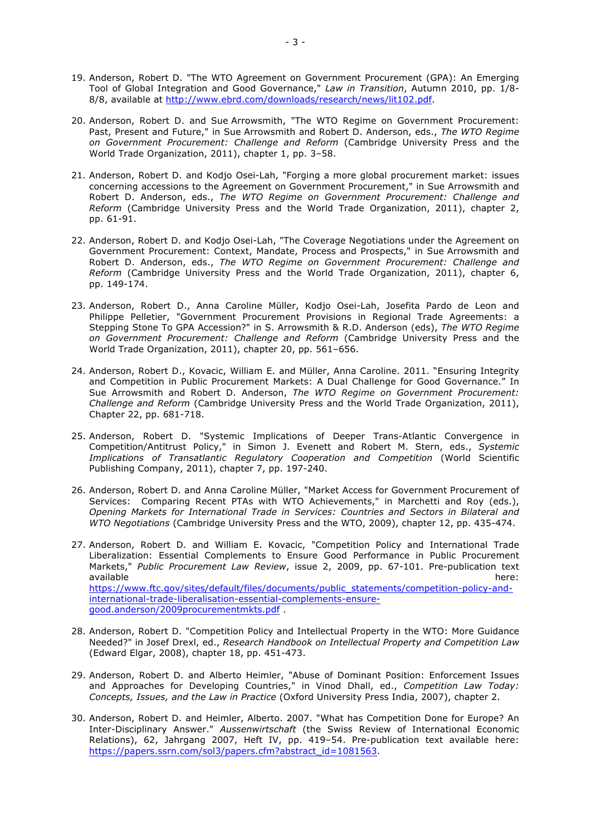- 19. Anderson, Robert D. "The WTO Agreement on Government Procurement (GPA): An Emerging Tool of Global Integration and Good Governance," *Law in Transition*, Autumn 2010, pp. 1/8- 8/8, available at http://www.ebrd.com/downloads/research/news/lit102.pdf.
- 20. Anderson, Robert D. and Sue Arrowsmith, "The WTO Regime on Government Procurement: Past, Present and Future," in Sue Arrowsmith and Robert D. Anderson, eds., *The WTO Regime on Government Procurement: Challenge and Reform* (Cambridge University Press and the World Trade Organization, 2011), chapter 1, pp. 3–58.
- 21. Anderson, Robert D. and Kodjo Osei-Lah, "Forging a more global procurement market: issues concerning accessions to the Agreement on Government Procurement," in Sue Arrowsmith and Robert D. Anderson, eds., *The WTO Regime on Government Procurement: Challenge and Reform* (Cambridge University Press and the World Trade Organization, 2011), chapter 2, pp. 61-91.
- 22. Anderson, Robert D. and Kodjo Osei-Lah, "The Coverage Negotiations under the Agreement on Government Procurement: Context, Mandate, Process and Prospects," in Sue Arrowsmith and Robert D. Anderson, eds., *The WTO Regime on Government Procurement: Challenge and Reform* (Cambridge University Press and the World Trade Organization, 2011), chapter 6, pp. 149-174.
- 23. Anderson, Robert D., Anna Caroline Müller, Kodjo Osei-Lah, Josefita Pardo de Leon and Philippe Pelletier, "Government Procurement Provisions in Regional Trade Agreements: a Stepping Stone To GPA Accession?" in S. Arrowsmith & R.D. Anderson (eds), *The WTO Regime on Government Procurement: Challenge and Reform* (Cambridge University Press and the World Trade Organization, 2011), chapter 20, pp. 561–656.
- 24. Anderson, Robert D., Kovacic, William E. and Müller, Anna Caroline. 2011. "Ensuring Integrity and Competition in Public Procurement Markets: A Dual Challenge for Good Governance." In Sue Arrowsmith and Robert D. Anderson, *The WTO Regime on Government Procurement: Challenge and Reform* (Cambridge University Press and the World Trade Organization, 2011), Chapter 22, pp. 681-718.
- 25. Anderson, Robert D. "Systemic Implications of Deeper Trans-Atlantic Convergence in Competition/Antitrust Policy," in Simon J. Evenett and Robert M. Stern, eds., *Systemic Implications of Transatlantic Regulatory Cooperation and Competition* (World Scientific Publishing Company, 2011), chapter 7, pp. 197-240.
- 26. Anderson, Robert D. and Anna Caroline Müller, "Market Access for Government Procurement of Services: Comparing Recent PTAs with WTO Achievements," in Marchetti and Roy (eds.), *Opening Markets for International Trade in Services: Countries and Sectors in Bilateral and WTO Negotiations* (Cambridge University Press and the WTO, 2009), chapter 12, pp. 435-474.
- 27. Anderson, Robert D. and William E. Kovacic, "Competition Policy and International Trade Liberalization: Essential Complements to Ensure Good Performance in Public Procurement Markets," *Public Procurement Law Review*, issue 2, 2009, pp. 67-101. Pre-publication text available here: https://www.ftc.gov/sites/default/files/documents/public\_statements/competition-policy-andinternational-trade-liberalisation-essential-complements-ensuregood.anderson/2009procurementmkts.pdf .
- 28. Anderson, Robert D. "Competition Policy and Intellectual Property in the WTO: More Guidance Needed?" in Josef Drexl, ed., *Research Handbook on Intellectual Property and Competition Law* (Edward Elgar, 2008), chapter 18, pp. 451-473.
- 29. Anderson, Robert D. and Alberto Heimler, "Abuse of Dominant Position: Enforcement Issues and Approaches for Developing Countries," in Vinod Dhall, ed., *Competition Law Today: Concepts, Issues, and the Law in Practice* (Oxford University Press India, 2007), chapter 2.
- 30. Anderson, Robert D. and Heimler, Alberto. 2007. "What has Competition Done for Europe? An Inter-Disciplinary Answer." *Aussenwirtschaft* (the Swiss Review of International Economic Relations), 62, Jahrgang 2007, Heft IV, pp. 419–54. Pre-publication text available here: https://papers.ssrn.com/sol3/papers.cfm?abstract\_id=1081563.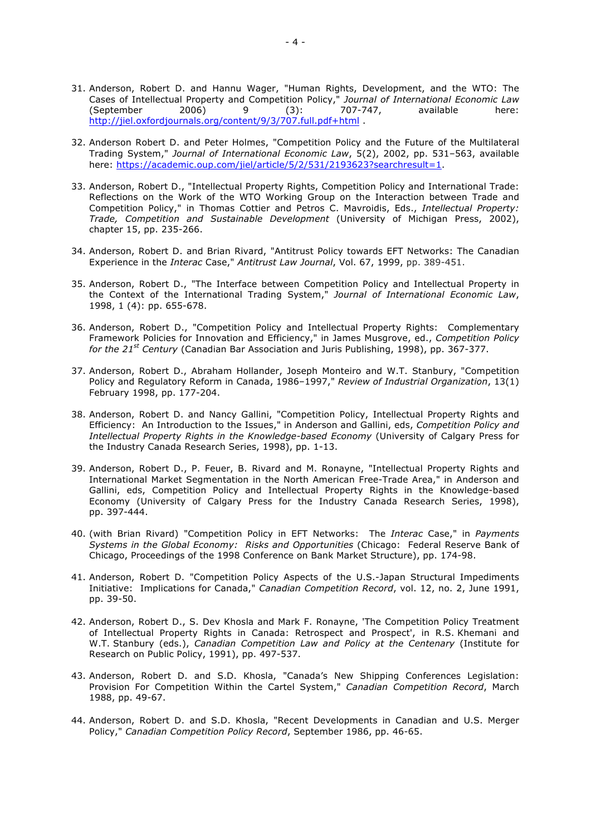- 31. Anderson, Robert D. and Hannu Wager, "Human Rights, Development, and the WTO: The Cases of Intellectual Property and Competition Policy," *Journal of International Economic Law* (September 2006) 9 (3): 707-747, available here: http://jiel.oxfordjournals.org/content/9/3/707.full.pdf+html .
- 32. Anderson Robert D. and Peter Holmes, "Competition Policy and the Future of the Multilateral Trading System," *Journal of International Economic Law*, 5(2), 2002, pp. 531–563, available here: https://academic.oup.com/jiel/article/5/2/531/2193623?searchresult=1.
- 33. Anderson, Robert D., "Intellectual Property Rights, Competition Policy and International Trade: Reflections on the Work of the WTO Working Group on the Interaction between Trade and Competition Policy," in Thomas Cottier and Petros C. Mavroidis, Eds., *Intellectual Property: Trade, Competition and Sustainable Development* (University of Michigan Press, 2002), chapter 15, pp. 235-266.
- 34. Anderson, Robert D. and Brian Rivard, "Antitrust Policy towards EFT Networks: The Canadian Experience in the *Interac* Case," *Antitrust Law Journal*, Vol. 67, 1999, pp. 389-451.
- 35. Anderson, Robert D., "The Interface between Competition Policy and Intellectual Property in the Context of the International Trading System," *Journal of International Economic Law*, 1998, 1 (4): pp. 655-678.
- 36. Anderson, Robert D., "Competition Policy and Intellectual Property Rights: Complementary Framework Policies for Innovation and Efficiency," in James Musgrove, ed., *Competition Policy for the 21st Century* (Canadian Bar Association and Juris Publishing, 1998), pp. 367-377.
- 37. Anderson, Robert D., Abraham Hollander, Joseph Monteiro and W.T. Stanbury, "Competition Policy and Regulatory Reform in Canada, 1986–1997," *Review of Industrial Organization*, 13(1) February 1998, pp. 177-204.
- 38. Anderson, Robert D. and Nancy Gallini, "Competition Policy, Intellectual Property Rights and Efficiency: An Introduction to the Issues," in Anderson and Gallini, eds, *Competition Policy and Intellectual Property Rights in the Knowledge-based Economy* (University of Calgary Press for the Industry Canada Research Series, 1998), pp. 1-13.
- 39. Anderson, Robert D., P. Feuer, B. Rivard and M. Ronayne, "Intellectual Property Rights and International Market Segmentation in the North American Free-Trade Area," in Anderson and Gallini, eds, Competition Policy and Intellectual Property Rights in the Knowledge-based Economy (University of Calgary Press for the Industry Canada Research Series, 1998), pp. 397-444.
- 40. (with Brian Rivard) "Competition Policy in EFT Networks: The *Interac* Case," in *Payments Systems in the Global Economy: Risks and Opportunities* (Chicago: Federal Reserve Bank of Chicago, Proceedings of the 1998 Conference on Bank Market Structure), pp. 174-98.
- 41. Anderson, Robert D. "Competition Policy Aspects of the U.S.-Japan Structural Impediments Initiative: Implications for Canada," *Canadian Competition Record*, vol. 12, no. 2, June 1991, pp. 39-50.
- 42. Anderson, Robert D., S. Dev Khosla and Mark F. Ronayne, 'The Competition Policy Treatment of Intellectual Property Rights in Canada: Retrospect and Prospect', in R.S. Khemani and W.T. Stanbury (eds.), *Canadian Competition Law and Policy at the Centenary* (Institute for Research on Public Policy, 1991), pp. 497-537.
- 43. Anderson, Robert D. and S.D. Khosla, "Canada's New Shipping Conferences Legislation: Provision For Competition Within the Cartel System," *Canadian Competition Record*, March 1988, pp. 49-67.
- 44. Anderson, Robert D. and S.D. Khosla, "Recent Developments in Canadian and U.S. Merger Policy," *Canadian Competition Policy Record*, September 1986, pp. 46-65.